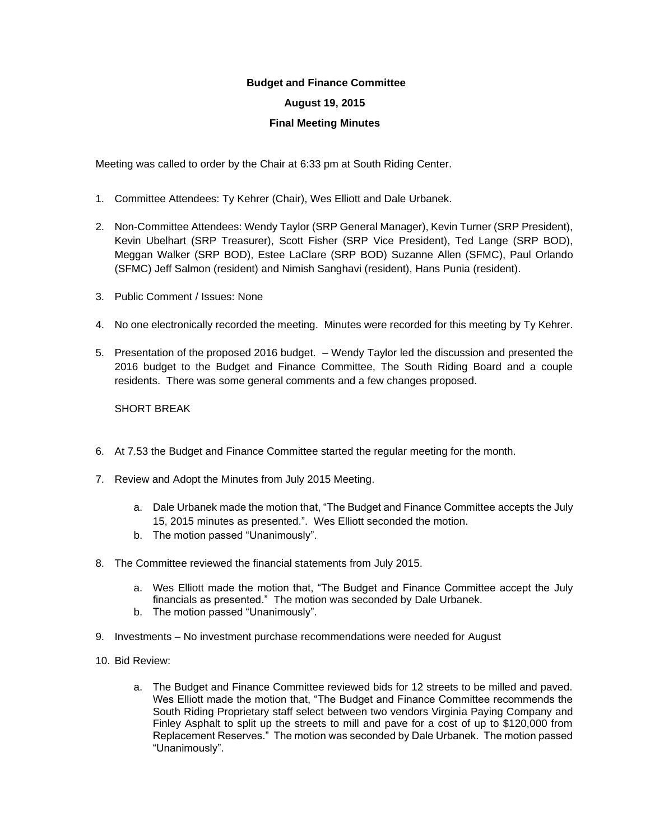## **Budget and Finance Committee**

## **August 19, 2015**

## **Final Meeting Minutes**

Meeting was called to order by the Chair at 6:33 pm at South Riding Center.

- 1. Committee Attendees: Ty Kehrer (Chair), Wes Elliott and Dale Urbanek.
- 2. Non-Committee Attendees: Wendy Taylor (SRP General Manager), Kevin Turner (SRP President), Kevin Ubelhart (SRP Treasurer), Scott Fisher (SRP Vice President), Ted Lange (SRP BOD), Meggan Walker (SRP BOD), Estee LaClare (SRP BOD) Suzanne Allen (SFMC), Paul Orlando (SFMC) Jeff Salmon (resident) and Nimish Sanghavi (resident), Hans Punia (resident).
- 3. Public Comment / Issues: None
- 4. No one electronically recorded the meeting. Minutes were recorded for this meeting by Ty Kehrer.
- 5. Presentation of the proposed 2016 budget. Wendy Taylor led the discussion and presented the 2016 budget to the Budget and Finance Committee, The South Riding Board and a couple residents. There was some general comments and a few changes proposed.

SHORT BREAK

- 6. At 7.53 the Budget and Finance Committee started the regular meeting for the month.
- 7. Review and Adopt the Minutes from July 2015 Meeting.
	- a. Dale Urbanek made the motion that, "The Budget and Finance Committee accepts the July 15, 2015 minutes as presented.". Wes Elliott seconded the motion.
	- b. The motion passed "Unanimously".
- 8. The Committee reviewed the financial statements from July 2015.
	- a. Wes Elliott made the motion that, "The Budget and Finance Committee accept the July financials as presented." The motion was seconded by Dale Urbanek.
	- b. The motion passed "Unanimously".
- 9. Investments No investment purchase recommendations were needed for August
- 10. Bid Review:
	- a. The Budget and Finance Committee reviewed bids for 12 streets to be milled and paved. Wes Elliott made the motion that, "The Budget and Finance Committee recommends the South Riding Proprietary staff select between two vendors Virginia Paying Company and Finley Asphalt to split up the streets to mill and pave for a cost of up to \$120,000 from Replacement Reserves." The motion was seconded by Dale Urbanek. The motion passed "Unanimously".